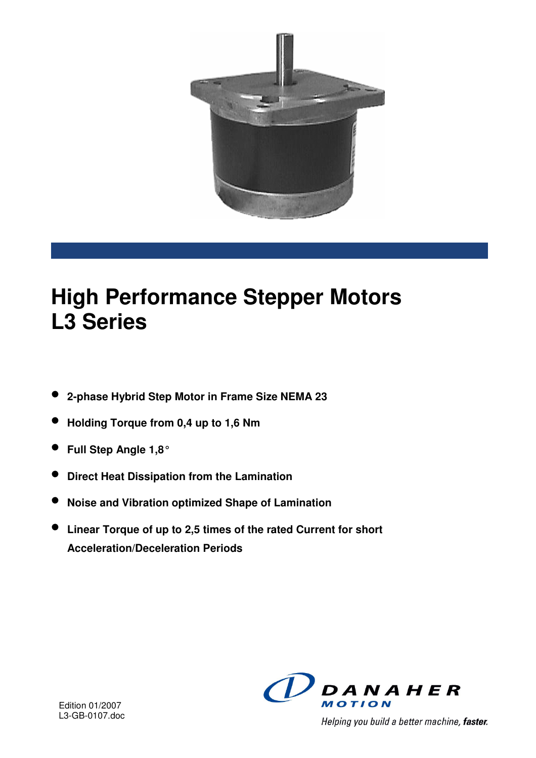

# **High Performance Stepper Motors L3 Series**

- **2-phase Hybrid Step Motor in Frame Size NEMA 23**
- **Holding Torque from 0,4 up to 1,6 Nm**
- **Full Step Angle 1,8°**
- **Direct Heat Dissipation from the Lamination**
- **Noise and Vibration optimized Shape of Lamination**
- **Linear Torque of up to 2,5 times of the rated Current for short Acceleration/Deceleration Periods**



Helping you build a better machine, faster.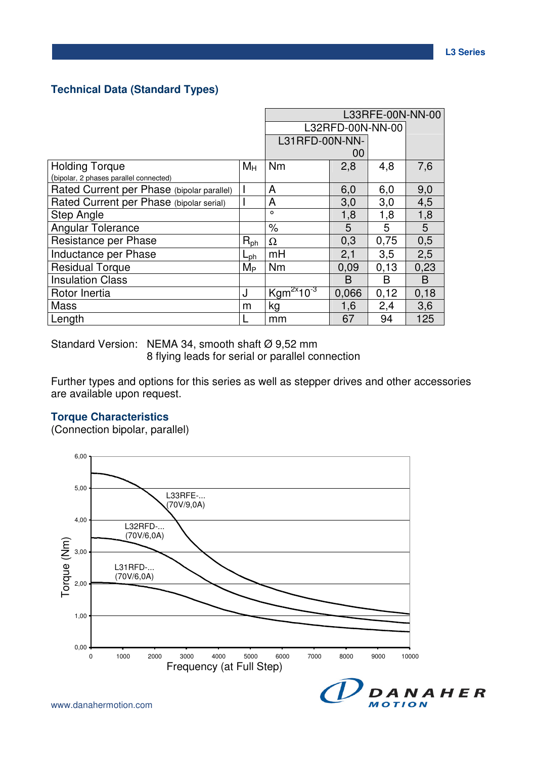#### **Technical Data (Standard Types)**

|                                            |              | L33RFE-00N-NN-00  |       |      |      |
|--------------------------------------------|--------------|-------------------|-------|------|------|
|                                            |              | L32RFD-00N-NN-00  |       |      |      |
|                                            |              | L31RFD-00N-NN-    |       |      |      |
|                                            |              |                   | 00    |      |      |
| <b>Holding Torque</b>                      | $M_H$        | Nm                | 2,8   | 4,8  | 7,6  |
| (bipolar, 2 phases parallel connected)     |              |                   |       |      |      |
| Rated Current per Phase (bipolar parallel) |              | A                 | 6,0   | 6,0  | 9,0  |
| Rated Current per Phase (bipolar serial)   |              | A                 | 3,0   | 3,0  | 4,5  |
| <b>Step Angle</b>                          |              | $\circ$           | 1,8   | 1,8  | 1,8  |
| <b>Angular Tolerance</b>                   |              | $\%$              | 5     | 5    | 5    |
| Resistance per Phase                       | $R_{ph}$     | Ω                 | 0,3   | 0,75 | 0,5  |
| Inductance per Phase                       | $L_{\rm ph}$ | mH                | 2,1   | 3,5  | 2,5  |
| <b>Residual Torque</b>                     | $M_{\rm P}$  | <b>Nm</b>         | 0,09  | 0,13 | 0,23 |
| <b>Insulation Class</b>                    |              |                   | B     | B    | B    |
| Rotor Inertia                              | J            | $Kgm^{2x}10^{-3}$ | 0,066 | 0,12 | 0,18 |
| Mass                                       | m            | kg                | 1,6   | 2,4  | 3,6  |
| Length                                     |              | mm                | 67    | 94   | 125  |

Standard Version: NEMA 34, smooth shaft Ø 9,52 mm

8 flying leads for serial or parallel connection

Further types and options for this series as well as stepper drives and other accessories are available upon request.

## **Torque Characteristics**

(Connection bipolar, parallel)